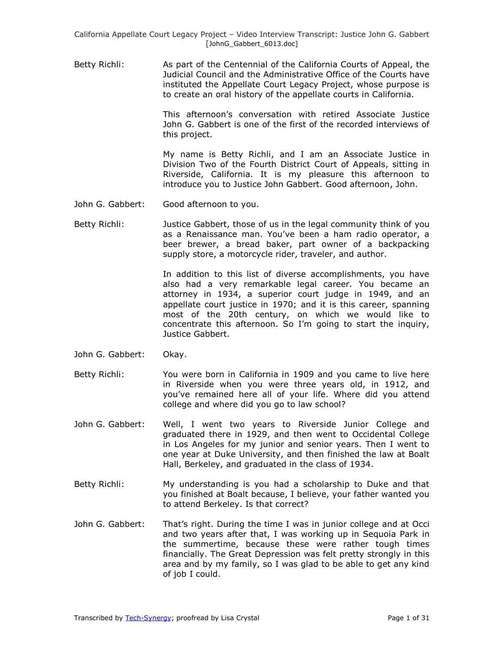Betty Richli: As part of the Centennial of the California Courts of Appeal, the Judicial Council and the Administrative Office of the Courts have instituted the Appellate Court Legacy Project, whose purpose is to create an oral history of the appellate courts in California.

> This afternoon's conversation with retired Associate Justice John G. Gabbert is one of the first of the recorded interviews of this project.

> My name is Betty Richli, and I am an Associate Justice in Division Two of the Fourth District Court of Appeals, sitting in Riverside, California. It is my pleasure this afternoon to introduce you to Justice John Gabbert. Good afternoon, John.

- John G. Gabbert: Good afternoon to you.
- Betty Richli: Justice Gabbert, those of us in the legal community think of you as a Renaissance man. You've been a ham radio operator, a beer brewer, a bread baker, part owner of a backpacking supply store, a motorcycle rider, traveler, and author.

In addition to this list of diverse accomplishments, you have also had a very remarkable legal career. You became an attorney in 1934, a superior court judge in 1949, and an appellate court justice in 1970; and it is this career, spanning most of the 20th century, on which we would like to concentrate this afternoon. So I'm going to start the inquiry, Justice Gabbert.

- John G. Gabbert: Okay.
- Betty Richli: You were born in California in 1909 and you came to live here in Riverside when you were three years old, in 1912, and you've remained here all of your life. Where did you attend college and where did you go to law school?
- John G. Gabbert: Well, I went two years to Riverside Junior College and graduated there in 1929, and then went to Occidental College in Los Angeles for my junior and senior years. Then I went to one year at Duke University, and then finished the law at Boalt Hall, Berkeley, and graduated in the class of 1934.
- Betty Richli: My understanding is you had a scholarship to Duke and that you finished at Boalt because, I believe, your father wanted you to attend Berkeley. Is that correct?
- John G. Gabbert: That's right. During the time I was in junior college and at Occi and two years after that, I was working up in Sequoia Park in the summertime, because these were rather tough times financially. The Great Depression was felt pretty strongly in this area and by my family, so I was glad to be able to get any kind of job I could.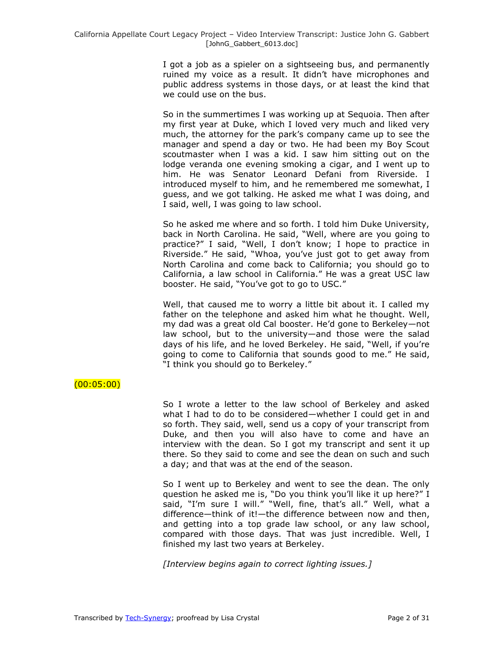I got a job as a spieler on a sightseeing bus, and permanently ruined my voice as a result. It didn't have microphones and public address systems in those days, or at least the kind that we could use on the bus.

So in the summertimes I was working up at Sequoia. Then after my first year at Duke, which I loved very much and liked very much, the attorney for the park's company came up to see the manager and spend a day or two. He had been my Boy Scout scoutmaster when I was a kid. I saw him sitting out on the lodge veranda one evening smoking a cigar, and I went up to him. He was Senator Leonard Defani from Riverside. I introduced myself to him, and he remembered me somewhat, I guess, and we got talking. He asked me what I was doing, and I said, well, I was going to law school.

So he asked me where and so forth. I told him Duke University, back in North Carolina. He said, "Well, where are you going to practice?" I said, "Well, I don't know; I hope to practice in Riverside." He said, "Whoa, you've just got to get away from North Carolina and come back to California; you should go to California, a law school in California." He was a great USC law booster. He said, "You've got to go to USC."

Well, that caused me to worry a little bit about it. I called my father on the telephone and asked him what he thought. Well, my dad was a great old Cal booster. He'd gone to Berkeley—not law school, but to the university—and those were the salad days of his life, and he loved Berkeley. He said, "Well, if you're going to come to California that sounds good to me." He said, "I think you should go to Berkeley."

# $(00:05:00)$

So I wrote a letter to the law school of Berkeley and asked what I had to do to be considered—whether I could get in and so forth. They said, well, send us a copy of your transcript from Duke, and then you will also have to come and have an interview with the dean. So I got my transcript and sent it up there. So they said to come and see the dean on such and such a day; and that was at the end of the season.

So I went up to Berkeley and went to see the dean. The only question he asked me is, "Do you think you'll like it up here?" I said, "I'm sure I will." "Well, fine, that's all." Well, what a difference—think of it!—the difference between now and then, and getting into a top grade law school, or any law school, compared with those days. That was just incredible. Well, I finished my last two years at Berkeley.

*[Interview begins again to correct lighting issues.]*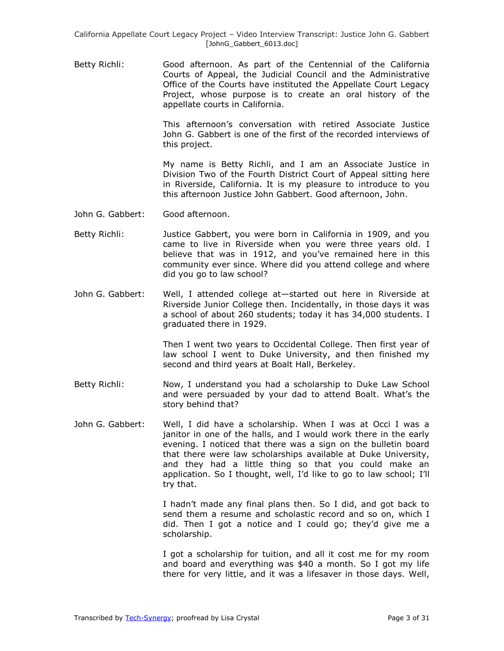Betty Richli: Good afternoon. As part of the Centennial of the California Courts of Appeal, the Judicial Council and the Administrative Office of the Courts have instituted the Appellate Court Legacy Project, whose purpose is to create an oral history of the appellate courts in California.

> This afternoon's conversation with retired Associate Justice John G. Gabbert is one of the first of the recorded interviews of this project.

> My name is Betty Richli, and I am an Associate Justice in Division Two of the Fourth District Court of Appeal sitting here in Riverside, California. It is my pleasure to introduce to you this afternoon Justice John Gabbert. Good afternoon, John.

- John G. Gabbert: Good afternoon.
- Betty Richli: Justice Gabbert, you were born in California in 1909, and you came to live in Riverside when you were three years old. I believe that was in 1912, and you've remained here in this community ever since. Where did you attend college and where did you go to law school?
- John G. Gabbert: Well, I attended college at—started out here in Riverside at Riverside Junior College then. Incidentally, in those days it was a school of about 260 students; today it has 34,000 students. I graduated there in 1929.

Then I went two years to Occidental College. Then first year of law school I went to Duke University, and then finished my second and third years at Boalt Hall, Berkeley.

- Betty Richli: Now, I understand you had a scholarship to Duke Law School and were persuaded by your dad to attend Boalt. What's the story behind that?
- John G. Gabbert: Well, I did have a scholarship. When I was at Occi I was a janitor in one of the halls, and I would work there in the early evening. I noticed that there was a sign on the bulletin board that there were law scholarships available at Duke University, and they had a little thing so that you could make an application. So I thought, well, I'd like to go to law school; I'll try that.

I hadn't made any final plans then. So I did, and got back to send them a resume and scholastic record and so on, which I did. Then I got a notice and I could go; they'd give me a scholarship.

I got a scholarship for tuition, and all it cost me for my room and board and everything was \$40 a month. So I got my life there for very little, and it was a lifesaver in those days. Well,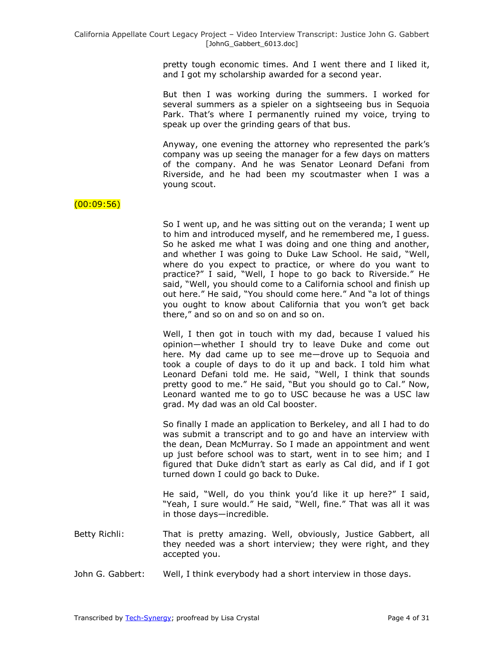pretty tough economic times. And I went there and I liked it, and I got my scholarship awarded for a second year.

But then I was working during the summers. I worked for several summers as a spieler on a sightseeing bus in Sequoia Park. That's where I permanently ruined my voice, trying to speak up over the grinding gears of that bus.

Anyway, one evening the attorney who represented the park's company was up seeing the manager for a few days on matters of the company. And he was Senator Leonard Defani from Riverside, and he had been my scoutmaster when I was a young scout.

# $(00:09:56)$

So I went up, and he was sitting out on the veranda; I went up to him and introduced myself, and he remembered me, I guess. So he asked me what I was doing and one thing and another, and whether I was going to Duke Law School. He said, "Well, where do you expect to practice, or where do you want to practice?" I said, "Well, I hope to go back to Riverside." He said, "Well, you should come to a California school and finish up out here." He said, "You should come here." And "a lot of things you ought to know about California that you won't get back there," and so on and so on and so on.

Well, I then got in touch with my dad, because I valued his opinion—whether I should try to leave Duke and come out here. My dad came up to see me—drove up to Sequoia and took a couple of days to do it up and back. I told him what Leonard Defani told me. He said, "Well, I think that sounds pretty good to me." He said, "But you should go to Cal." Now, Leonard wanted me to go to USC because he was a USC law grad. My dad was an old Cal booster.

So finally I made an application to Berkeley, and all I had to do was submit a transcript and to go and have an interview with the dean, Dean McMurray. So I made an appointment and went up just before school was to start, went in to see him; and I figured that Duke didn't start as early as Cal did, and if I got turned down I could go back to Duke.

He said, "Well, do you think you'd like it up here?" I said, "Yeah, I sure would." He said, "Well, fine." That was all it was in those days—incredible.

- Betty Richli: That is pretty amazing. Well, obviously, Justice Gabbert, all they needed was a short interview; they were right, and they accepted you.
- John G. Gabbert: Well, I think everybody had a short interview in those days.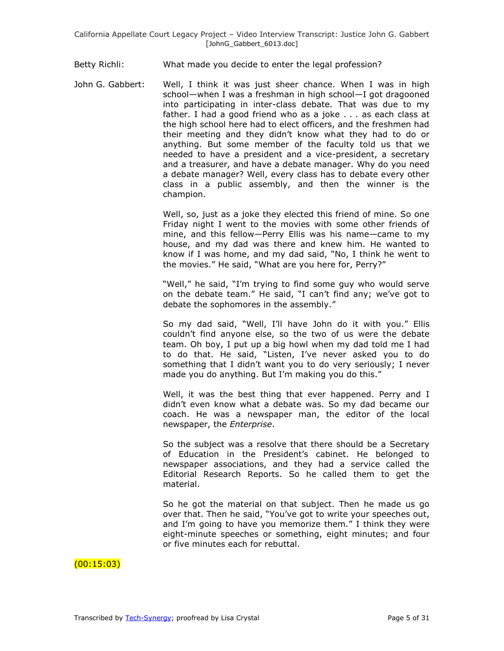Betty Richli: What made you decide to enter the legal profession?

John G. Gabbert: Well, I think it was just sheer chance. When I was in high school—when I was a freshman in high school—I got dragooned into participating in inter-class debate. That was due to my father. I had a good friend who as a joke . . . as each class at the high school here had to elect officers, and the freshmen had their meeting and they didn't know what they had to do or anything. But some member of the faculty told us that we needed to have a president and a vice-president, a secretary and a treasurer, and have a debate manager. Why do you need a debate manager? Well, every class has to debate every other class in a public assembly, and then the winner is the champion.

> Well, so, just as a joke they elected this friend of mine. So one Friday night I went to the movies with some other friends of mine, and this fellow—Perry Ellis was his name—came to my house, and my dad was there and knew him. He wanted to know if I was home, and my dad said, "No, I think he went to the movies." He said, "What are you here for, Perry?"

> "Well," he said, "I'm trying to find some guy who would serve on the debate team." He said, "I can't find any; we've got to debate the sophomores in the assembly."

> So my dad said, "Well, I'll have John do it with you." Ellis couldn't find anyone else, so the two of us were the debate team. Oh boy, I put up a big howl when my dad told me I had to do that. He said, "Listen, I've never asked you to do something that I didn't want you to do very seriously; I never made you do anything. But I'm making you do this."

> Well, it was the best thing that ever happened. Perry and I didn't even know what a debate was. So my dad became our coach. He was a newspaper man, the editor of the local newspaper, the *Enterprise*.

> So the subject was a resolve that there should be a Secretary of Education in the President's cabinet. He belonged to newspaper associations, and they had a service called the Editorial Research Reports. So he called them to get the material.

> So he got the material on that subject. Then he made us go over that. Then he said, "You've got to write your speeches out, and I'm going to have you memorize them." I think they were eight-minute speeches or something, eight minutes; and four or five minutes each for rebuttal.

### (00:15:03)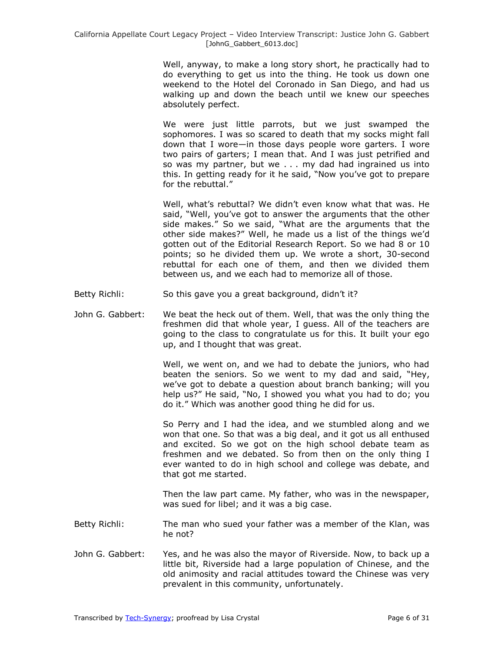Well, anyway, to make a long story short, he practically had to do everything to get us into the thing. He took us down one weekend to the Hotel del Coronado in San Diego, and had us walking up and down the beach until we knew our speeches absolutely perfect.

We were just little parrots, but we just swamped the sophomores. I was so scared to death that my socks might fall down that I wore—in those days people wore garters. I wore two pairs of garters; I mean that. And I was just petrified and so was my partner, but we . . . my dad had ingrained us into this. In getting ready for it he said, "Now you've got to prepare for the rebuttal."

Well, what's rebuttal? We didn't even know what that was. He said, "Well, you've got to answer the arguments that the other side makes." So we said, "What are the arguments that the other side makes?" Well, he made us a list of the things we'd gotten out of the Editorial Research Report. So we had 8 or 10 points; so he divided them up. We wrote a short, 30-second rebuttal for each one of them, and then we divided them between us, and we each had to memorize all of those.

- Betty Richli: So this gave you a great background, didn't it?
- John G. Gabbert: We beat the heck out of them. Well, that was the only thing the freshmen did that whole year, I guess. All of the teachers are going to the class to congratulate us for this. It built your ego up, and I thought that was great.

Well, we went on, and we had to debate the juniors, who had beaten the seniors. So we went to my dad and said, "Hey, we've got to debate a question about branch banking; will you help us?" He said, "No, I showed you what you had to do; you do it." Which was another good thing he did for us.

So Perry and I had the idea, and we stumbled along and we won that one. So that was a big deal, and it got us all enthused and excited. So we got on the high school debate team as freshmen and we debated. So from then on the only thing I ever wanted to do in high school and college was debate, and that got me started.

Then the law part came. My father, who was in the newspaper, was sued for libel; and it was a big case.

- Betty Richli: The man who sued your father was a member of the Klan, was he not?
- John G. Gabbert: Yes, and he was also the mayor of Riverside. Now, to back up a little bit, Riverside had a large population of Chinese, and the old animosity and racial attitudes toward the Chinese was very prevalent in this community, unfortunately.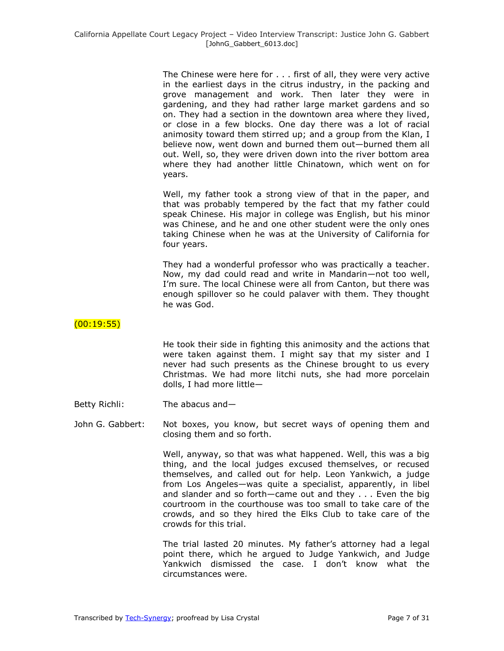The Chinese were here for . . . first of all, they were very active in the earliest days in the citrus industry, in the packing and grove management and work. Then later they were in gardening, and they had rather large market gardens and so on. They had a section in the downtown area where they lived, or close in a few blocks. One day there was a lot of racial animosity toward them stirred up; and a group from the Klan, I believe now, went down and burned them out—burned them all out. Well, so, they were driven down into the river bottom area where they had another little Chinatown, which went on for years.

Well, my father took a strong view of that in the paper, and that was probably tempered by the fact that my father could speak Chinese. His major in college was English, but his minor was Chinese, and he and one other student were the only ones taking Chinese when he was at the University of California for four years.

They had a wonderful professor who was practically a teacher. Now, my dad could read and write in Mandarin—not too well, I'm sure. The local Chinese were all from Canton, but there was enough spillover so he could palaver with them. They thought he was God.

### (00:19:55)

He took their side in fighting this animosity and the actions that were taken against them. I might say that my sister and I never had such presents as the Chinese brought to us every Christmas. We had more litchi nuts, she had more porcelain dolls, I had more little—

Betty Richli: The abacus and—

John G. Gabbert: Not boxes, you know, but secret ways of opening them and closing them and so forth.

> Well, anyway, so that was what happened. Well, this was a big thing, and the local judges excused themselves, or recused themselves, and called out for help. Leon Yankwich, a judge from Los Angeles—was quite a specialist, apparently, in libel and slander and so forth—came out and they . . . Even the big courtroom in the courthouse was too small to take care of the crowds, and so they hired the Elks Club to take care of the crowds for this trial.

> The trial lasted 20 minutes. My father's attorney had a legal point there, which he argued to Judge Yankwich, and Judge Yankwich dismissed the case. I don't know what the circumstances were.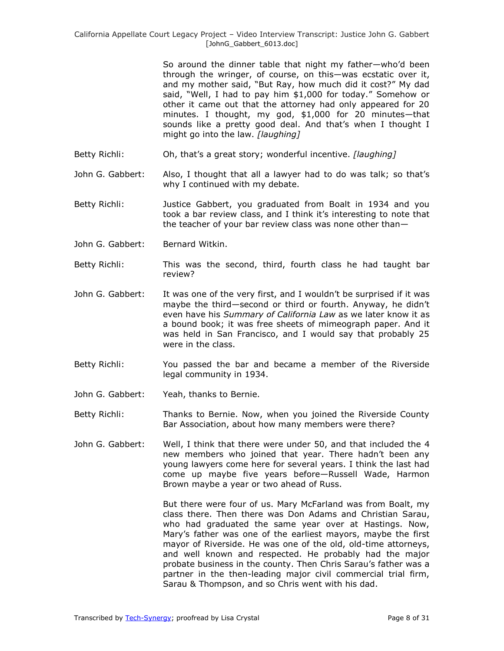So around the dinner table that night my father—who'd been through the wringer, of course, on this—was ecstatic over it, and my mother said, "But Ray, how much did it cost?" My dad said, "Well, I had to pay him \$1,000 for today." Somehow or other it came out that the attorney had only appeared for 20 minutes. I thought, my god, \$1,000 for 20 minutes—that sounds like a pretty good deal. And that's when I thought I might go into the law. *[laughing]*

- Betty Richli: Oh, that's a great story; wonderful incentive. *[laughing]*
- John G. Gabbert: Also, I thought that all a lawyer had to do was talk; so that's why I continued with my debate.
- Betty Richli: Justice Gabbert, you graduated from Boalt in 1934 and you took a bar review class, and I think it's interesting to note that the teacher of your bar review class was none other than—
- John G. Gabbert: Bernard Witkin.
- Betty Richli: This was the second, third, fourth class he had taught bar review?
- John G. Gabbert: It was one of the very first, and I wouldn't be surprised if it was maybe the third—second or third or fourth. Anyway, he didn't even have his *Summary of California Law* as we later know it as a bound book; it was free sheets of mimeograph paper. And it was held in San Francisco, and I would say that probably 25 were in the class.
- Betty Richli: You passed the bar and became a member of the Riverside legal community in 1934.
- John G. Gabbert: Yeah, thanks to Bernie.
- Betty Richli: Thanks to Bernie. Now, when you joined the Riverside County Bar Association, about how many members were there?
- John G. Gabbert: Well, I think that there were under 50, and that included the 4 new members who joined that year. There hadn't been any young lawyers come here for several years. I think the last had come up maybe five years before—Russell Wade, Harmon Brown maybe a year or two ahead of Russ.

But there were four of us. Mary McFarland was from Boalt, my class there. Then there was Don Adams and Christian Sarau, who had graduated the same year over at Hastings. Now, Mary's father was one of the earliest mayors, maybe the first mayor of Riverside. He was one of the old, old-time attorneys, and well known and respected. He probably had the major probate business in the county. Then Chris Sarau's father was a partner in the then-leading major civil commercial trial firm, Sarau & Thompson, and so Chris went with his dad.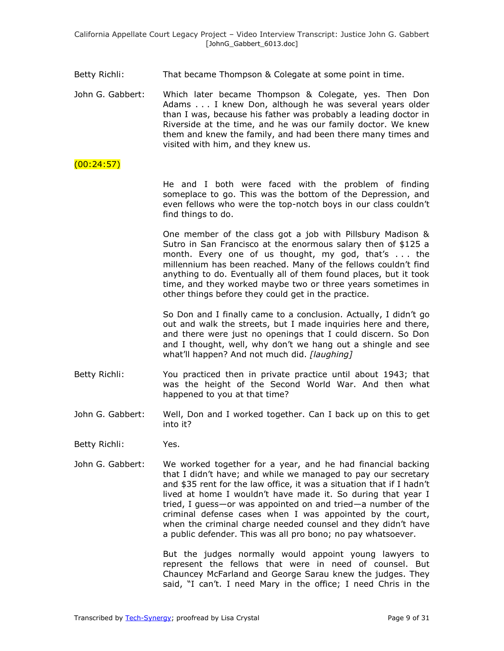- Betty Richli: That became Thompson & Colegate at some point in time.
- John G. Gabbert: Which later became Thompson & Colegate, yes. Then Don Adams . . . I knew Don, although he was several years older than I was, because his father was probably a leading doctor in Riverside at the time, and he was our family doctor. We knew them and knew the family, and had been there many times and visited with him, and they knew us.
- (00:24:57)

He and I both were faced with the problem of finding someplace to go. This was the bottom of the Depression, and even fellows who were the top-notch boys in our class couldn't find things to do.

One member of the class got a job with Pillsbury Madison & Sutro in San Francisco at the enormous salary then of \$125 a month. Every one of us thought, my god, that's . . . the millennium has been reached. Many of the fellows couldn't find anything to do. Eventually all of them found places, but it took time, and they worked maybe two or three years sometimes in other things before they could get in the practice.

So Don and I finally came to a conclusion. Actually, I didn't go out and walk the streets, but I made inquiries here and there, and there were just no openings that I could discern. So Don and I thought, well, why don't we hang out a shingle and see what'll happen? And not much did. *[laughing]*

- Betty Richli: You practiced then in private practice until about 1943; that was the height of the Second World War. And then what happened to you at that time?
- John G. Gabbert: Well, Don and I worked together. Can I back up on this to get into it?
- Betty Richli: Yes.
- John G. Gabbert: We worked together for a year, and he had financial backing that I didn't have; and while we managed to pay our secretary and \$35 rent for the law office, it was a situation that if I hadn't lived at home I wouldn't have made it. So during that year I tried, I guess—or was appointed on and tried—a number of the criminal defense cases when I was appointed by the court, when the criminal charge needed counsel and they didn't have a public defender. This was all pro bono; no pay whatsoever.

But the judges normally would appoint young lawyers to represent the fellows that were in need of counsel. But Chauncey McFarland and George Sarau knew the judges. They said, "I can't. I need Mary in the office; I need Chris in the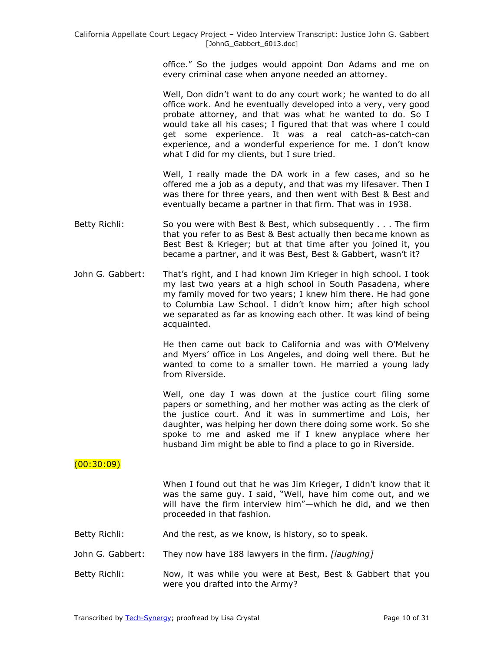office.‖ So the judges would appoint Don Adams and me on every criminal case when anyone needed an attorney.

Well, Don didn't want to do any court work; he wanted to do all office work. And he eventually developed into a very, very good probate attorney, and that was what he wanted to do. So I would take all his cases; I figured that that was where I could get some experience. It was a real catch-as-catch-can experience, and a wonderful experience for me. I don't know what I did for my clients, but I sure tried.

Well, I really made the DA work in a few cases, and so he offered me a job as a deputy, and that was my lifesaver. Then I was there for three years, and then went with Best & Best and eventually became a partner in that firm. That was in 1938.

- Betty Richli: So you were with Best & Best, which subsequently ... The firm that you refer to as Best & Best actually then became known as Best Best & Krieger; but at that time after you joined it, you became a partner, and it was Best, Best & Gabbert, wasn't it?
- John G. Gabbert: That's right, and I had known Jim Krieger in high school. I took my last two years at a high school in South Pasadena, where my family moved for two years; I knew him there. He had gone to Columbia Law School. I didn't know him; after high school we separated as far as knowing each other. It was kind of being acquainted.

He then came out back to California and was with O'Melveny and Myers' office in Los Angeles, and doing well there. But he wanted to come to a smaller town. He married a young lady from Riverside.

Well, one day I was down at the justice court filing some papers or something, and her mother was acting as the clerk of the justice court. And it was in summertime and Lois, her daughter, was helping her down there doing some work. So she spoke to me and asked me if I knew anyplace where her husband Jim might be able to find a place to go in Riverside.

### $(00:30:09)$

When I found out that he was Jim Krieger, I didn't know that it was the same guy. I said, "Well, have him come out, and we will have the firm interview him"-which he did, and we then proceeded in that fashion.

- Betty Richli: And the rest, as we know, is history, so to speak.
- John G. Gabbert: They now have 188 lawyers in the firm. *[laughing]*
- Betty Richli: Now, it was while you were at Best, Best & Gabbert that you were you drafted into the Army?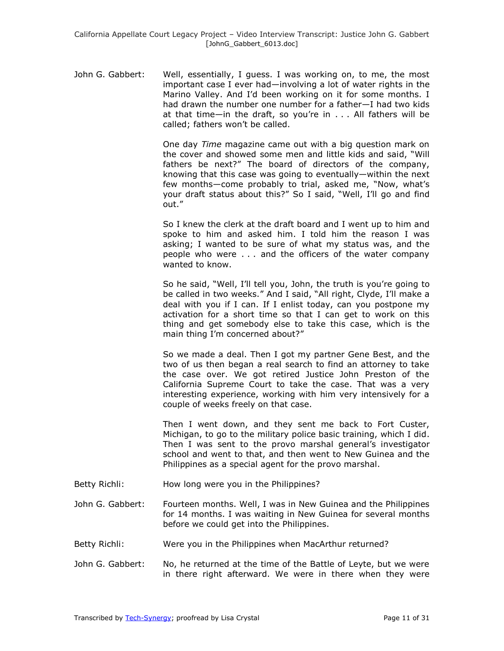John G. Gabbert: Well, essentially, I guess. I was working on, to me, the most important case I ever had—involving a lot of water rights in the Marino Valley. And I'd been working on it for some months. I had drawn the number one number for a father—I had two kids at that time—in the draft, so you're in . . . All fathers will be called; fathers won't be called.

> One day *Time* magazine came out with a big question mark on the cover and showed some men and little kids and said, "Will fathers be next?" The board of directors of the company, knowing that this case was going to eventually—within the next few months—come probably to trial, asked me, "Now, what's your draft status about this?" So I said, "Well, I'll go and find out."

> So I knew the clerk at the draft board and I went up to him and spoke to him and asked him. I told him the reason I was asking; I wanted to be sure of what my status was, and the people who were . . . and the officers of the water company wanted to know.

> So he said, "Well, I'll tell you, John, the truth is you're going to be called in two weeks." And I said, "All right, Clyde, I'll make a deal with you if I can. If I enlist today, can you postpone my activation for a short time so that I can get to work on this thing and get somebody else to take this case, which is the main thing I'm concerned about?"

> So we made a deal. Then I got my partner Gene Best, and the two of us then began a real search to find an attorney to take the case over. We got retired Justice John Preston of the California Supreme Court to take the case. That was a very interesting experience, working with him very intensively for a couple of weeks freely on that case.

> Then I went down, and they sent me back to Fort Custer, Michigan, to go to the military police basic training, which I did. Then I was sent to the provo marshal general's investigator school and went to that, and then went to New Guinea and the Philippines as a special agent for the provo marshal.

- Betty Richli: How long were you in the Philippines?
- John G. Gabbert: Fourteen months. Well, I was in New Guinea and the Philippines for 14 months. I was waiting in New Guinea for several months before we could get into the Philippines.
- Betty Richli: Were you in the Philippines when MacArthur returned?
- John G. Gabbert: No, he returned at the time of the Battle of Leyte, but we were in there right afterward. We were in there when they were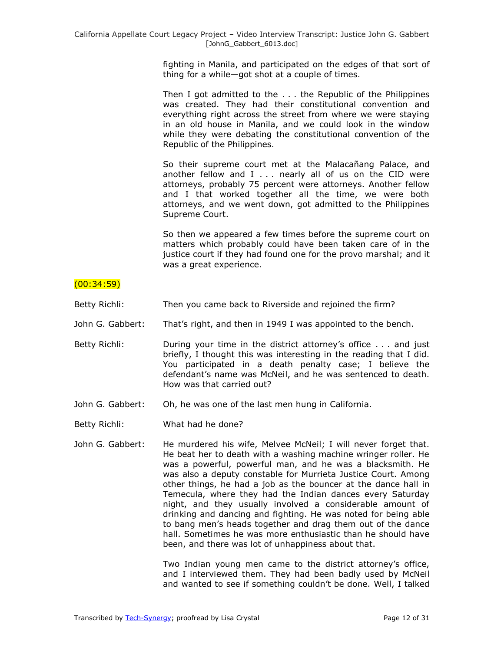fighting in Manila, and participated on the edges of that sort of thing for a while—got shot at a couple of times.

Then I got admitted to the . . . the Republic of the Philippines was created. They had their constitutional convention and everything right across the street from where we were staying in an old house in Manila, and we could look in the window while they were debating the constitutional convention of the Republic of the Philippines.

So their supreme court met at the Malacañang Palace, and another fellow and  $I \ldots$  nearly all of us on the CID were attorneys, probably 75 percent were attorneys. Another fellow and I that worked together all the time, we were both attorneys, and we went down, got admitted to the Philippines Supreme Court.

So then we appeared a few times before the supreme court on matters which probably could have been taken care of in the justice court if they had found one for the provo marshal; and it was a great experience.

## $(00:34:59)$

- Betty Richli: Then you came back to Riverside and rejoined the firm?
- John G. Gabbert: That's right, and then in 1949 I was appointed to the bench.
- Betty Richli: During your time in the district attorney's office . . . and just briefly, I thought this was interesting in the reading that I did. You participated in a death penalty case; I believe the defendant's name was McNeil, and he was sentenced to death. How was that carried out?
- John G. Gabbert: Oh, he was one of the last men hung in California.
- Betty Richli: What had he done?
- John G. Gabbert: He murdered his wife, Melvee McNeil; I will never forget that. He beat her to death with a washing machine wringer roller. He was a powerful, powerful man, and he was a blacksmith. He was also a deputy constable for Murrieta Justice Court. Among other things, he had a job as the bouncer at the dance hall in Temecula, where they had the Indian dances every Saturday night, and they usually involved a considerable amount of drinking and dancing and fighting. He was noted for being able to bang men's heads together and drag them out of the dance hall. Sometimes he was more enthusiastic than he should have been, and there was lot of unhappiness about that.

Two Indian young men came to the district attorney's office, and I interviewed them. They had been badly used by McNeil and wanted to see if something couldn't be done. Well, I talked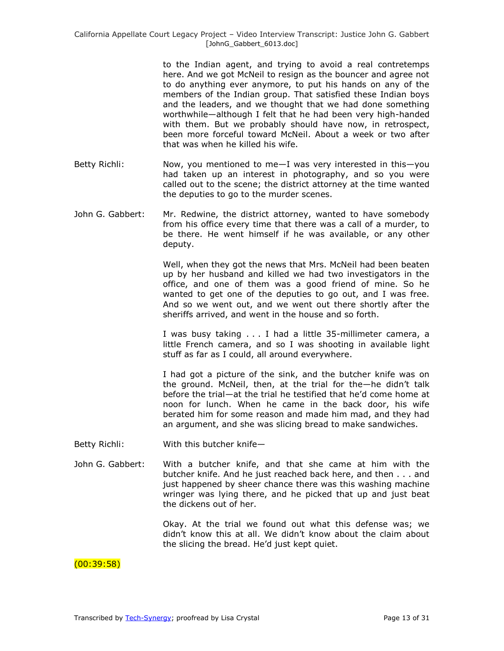to the Indian agent, and trying to avoid a real contretemps here. And we got McNeil to resign as the bouncer and agree not to do anything ever anymore, to put his hands on any of the members of the Indian group. That satisfied these Indian boys and the leaders, and we thought that we had done something worthwhile—although I felt that he had been very high-handed with them. But we probably should have now, in retrospect, been more forceful toward McNeil. About a week or two after that was when he killed his wife.

- Betty Richli: Now, you mentioned to me—I was very interested in this—you had taken up an interest in photography, and so you were called out to the scene; the district attorney at the time wanted the deputies to go to the murder scenes.
- John G. Gabbert: Mr. Redwine, the district attorney, wanted to have somebody from his office every time that there was a call of a murder, to be there. He went himself if he was available, or any other deputy.

Well, when they got the news that Mrs. McNeil had been beaten up by her husband and killed we had two investigators in the office, and one of them was a good friend of mine. So he wanted to get one of the deputies to go out, and I was free. And so we went out, and we went out there shortly after the sheriffs arrived, and went in the house and so forth.

I was busy taking . . . I had a little 35-millimeter camera, a little French camera, and so I was shooting in available light stuff as far as I could, all around everywhere.

I had got a picture of the sink, and the butcher knife was on the ground. McNeil, then, at the trial for the—he didn't talk before the trial—at the trial he testified that he'd come home at noon for lunch. When he came in the back door, his wife berated him for some reason and made him mad, and they had an argument, and she was slicing bread to make sandwiches.

- Betty Richli: With this butcher knife—
- John G. Gabbert: With a butcher knife, and that she came at him with the butcher knife. And he just reached back here, and then . . . and just happened by sheer chance there was this washing machine wringer was lying there, and he picked that up and just beat the dickens out of her.

Okay. At the trial we found out what this defense was; we didn't know this at all. We didn't know about the claim about the slicing the bread. He'd just kept quiet.

### (00:39:58)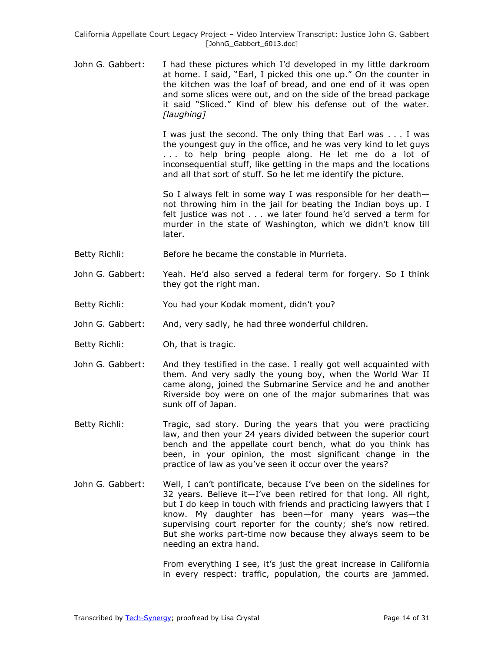John G. Gabbert: I had these pictures which I'd developed in my little darkroom at home. I said, "Earl, I picked this one up." On the counter in the kitchen was the loaf of bread, and one end of it was open and some slices were out, and on the side of the bread package it said "Sliced." Kind of blew his defense out of the water. *[laughing]*

> I was just the second. The only thing that Earl was . . . I was the youngest guy in the office, and he was very kind to let guys . . . to help bring people along. He let me do a lot of inconsequential stuff, like getting in the maps and the locations and all that sort of stuff. So he let me identify the picture.

> So I always felt in some way I was responsible for her death not throwing him in the jail for beating the Indian boys up. I felt justice was not . . . we later found he'd served a term for murder in the state of Washington, which we didn't know till later.

- Betty Richli: Before he became the constable in Murrieta.
- John G. Gabbert: Yeah. He'd also served a federal term for forgery. So I think they got the right man.
- Betty Richli: You had your Kodak moment, didn't you?
- John G. Gabbert: And, very sadly, he had three wonderful children.
- Betty Richli: Oh, that is tragic.
- John G. Gabbert: And they testified in the case. I really got well acquainted with them. And very sadly the young boy, when the World War II came along, joined the Submarine Service and he and another Riverside boy were on one of the major submarines that was sunk off of Japan.
- Betty Richli: Tragic, sad story. During the years that you were practicing law, and then your 24 years divided between the superior court bench and the appellate court bench, what do you think has been, in your opinion, the most significant change in the practice of law as you've seen it occur over the years?
- John G. Gabbert: Well, I can't pontificate, because I've been on the sidelines for 32 years. Believe it—I've been retired for that long. All right, but I do keep in touch with friends and practicing lawyers that I know. My daughter has been—for many years was—the supervising court reporter for the county; she's now retired. But she works part-time now because they always seem to be needing an extra hand.

From everything I see, it's just the great increase in California in every respect: traffic, population, the courts are jammed.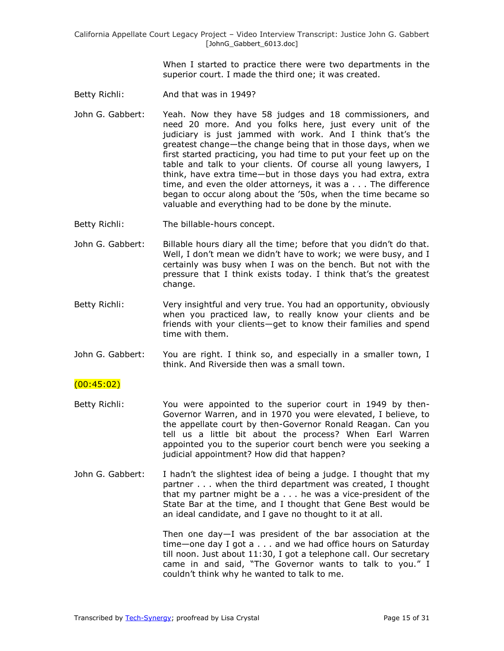> When I started to practice there were two departments in the superior court. I made the third one; it was created.

- Betty Richli: And that was in 1949?
- John G. Gabbert: Yeah. Now they have 58 judges and 18 commissioners, and need 20 more. And you folks here, just every unit of the judiciary is just jammed with work. And I think that's the greatest change—the change being that in those days, when we first started practicing, you had time to put your feet up on the table and talk to your clients. Of course all young lawyers, I think, have extra time—but in those days you had extra, extra time, and even the older attorneys, it was a . . . The difference began to occur along about the '50s, when the time became so valuable and everything had to be done by the minute.
- Betty Richli: The billable-hours concept.
- John G. Gabbert: Billable hours diary all the time; before that you didn't do that. Well, I don't mean we didn't have to work; we were busy, and I certainly was busy when I was on the bench. But not with the pressure that I think exists today. I think that's the greatest change.
- Betty Richli: Very insightful and very true. You had an opportunity, obviously when you practiced law, to really know your clients and be friends with your clients—get to know their families and spend time with them.
- John G. Gabbert: You are right. I think so, and especially in a smaller town, I think. And Riverside then was a small town.

#### $(00:45:02)$

- Betty Richli: You were appointed to the superior court in 1949 by then-Governor Warren, and in 1970 you were elevated, I believe, to the appellate court by then-Governor Ronald Reagan. Can you tell us a little bit about the process? When Earl Warren appointed you to the superior court bench were you seeking a judicial appointment? How did that happen?
- John G. Gabbert: I hadn't the slightest idea of being a judge. I thought that my partner . . . when the third department was created, I thought that my partner might be a . . . he was a vice-president of the State Bar at the time, and I thought that Gene Best would be an ideal candidate, and I gave no thought to it at all.

Then one day—I was president of the bar association at the time—one day I got a . . . and we had office hours on Saturday till noon. Just about 11:30, I got a telephone call. Our secretary came in and said, "The Governor wants to talk to you." I couldn't think why he wanted to talk to me.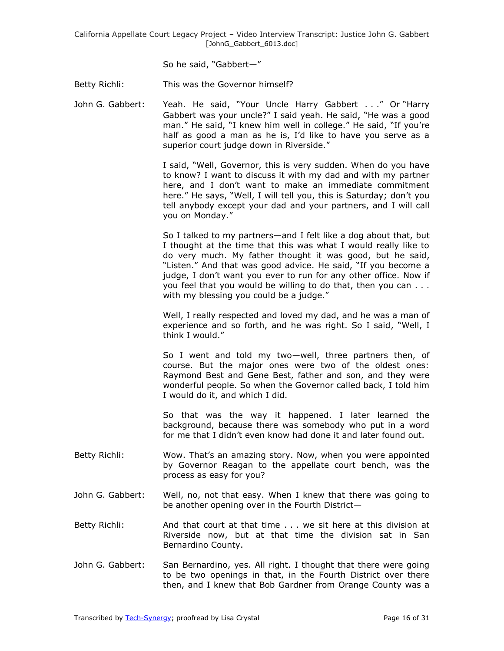So he said, "Gabbert-"

Betty Richli: This was the Governor himself?

John G. Gabbert: Yeah. He said, "Your Uncle Harry Gabbert . . ." Or "Harry Gabbert was your uncle?" I said yeah. He said, "He was a good man." He said, "I knew him well in college." He said, "If you're half as good a man as he is, I'd like to have you serve as a superior court judge down in Riverside."

> I said, "Well, Governor, this is very sudden. When do you have to know? I want to discuss it with my dad and with my partner here, and I don't want to make an immediate commitment here." He says, "Well, I will tell you, this is Saturday; don't you tell anybody except your dad and your partners, and I will call you on Monday."

> So I talked to my partners—and I felt like a dog about that, but I thought at the time that this was what I would really like to do very much. My father thought it was good, but he said, "Listen." And that was good advice. He said, "If you become a judge, I don't want you ever to run for any other office. Now if you feel that you would be willing to do that, then you can . . . with my blessing you could be a judge."

> Well, I really respected and loved my dad, and he was a man of experience and so forth, and he was right. So I said, "Well, I think I would."

> So I went and told my two—well, three partners then, of course. But the major ones were two of the oldest ones: Raymond Best and Gene Best, father and son, and they were wonderful people. So when the Governor called back, I told him I would do it, and which I did.

> So that was the way it happened. I later learned the background, because there was somebody who put in a word for me that I didn't even know had done it and later found out.

- Betty Richli: Wow. That's an amazing story. Now, when you were appointed by Governor Reagan to the appellate court bench, was the process as easy for you?
- John G. Gabbert: Well, no, not that easy. When I knew that there was going to be another opening over in the Fourth District—
- Betty Richli: And that court at that time . . . we sit here at this division at Riverside now, but at that time the division sat in San Bernardino County.
- John G. Gabbert: San Bernardino, yes. All right. I thought that there were going to be two openings in that, in the Fourth District over there then, and I knew that Bob Gardner from Orange County was a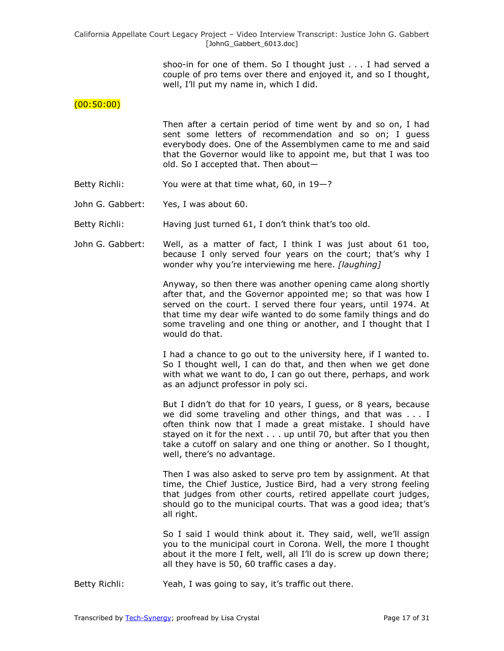> shoo-in for one of them. So I thought just . . . I had served a couple of pro tems over there and enjoyed it, and so I thought, well, I'll put my name in, which I did.

#### $(00:50:00)$

Then after a certain period of time went by and so on, I had sent some letters of recommendation and so on; I guess everybody does. One of the Assemblymen came to me and said that the Governor would like to appoint me, but that I was too old. So I accepted that. Then about—

- Betty Richli: You were at that time what, 60, in 19-?
- John G. Gabbert: Yes, I was about 60.

Betty Richli: Having just turned 61, I don't think that's too old.

John G. Gabbert: Well, as a matter of fact, I think I was just about 61 too, because I only served four years on the court; that's why I wonder why you're interviewing me here. *[laughing]*

> Anyway, so then there was another opening came along shortly after that, and the Governor appointed me; so that was how I served on the court. I served there four years, until 1974. At that time my dear wife wanted to do some family things and do some traveling and one thing or another, and I thought that I would do that.

> I had a chance to go out to the university here, if I wanted to. So I thought well, I can do that, and then when we get done with what we want to do, I can go out there, perhaps, and work as an adjunct professor in poly sci.

> But I didn't do that for 10 years, I guess, or 8 years, because we did some traveling and other things, and that was . . . I often think now that I made a great mistake. I should have stayed on it for the next . . . up until 70, but after that you then take a cutoff on salary and one thing or another. So I thought, well, there's no advantage.

> Then I was also asked to serve pro tem by assignment. At that time, the Chief Justice, Justice Bird, had a very strong feeling that judges from other courts, retired appellate court judges, should go to the municipal courts. That was a good idea; that's all right.

> So I said I would think about it. They said, well, we'll assign you to the municipal court in Corona. Well, the more I thought about it the more I felt, well, all I'll do is screw up down there; all they have is 50, 60 traffic cases a day.

Betty Richli: Yeah, I was going to say, it's traffic out there.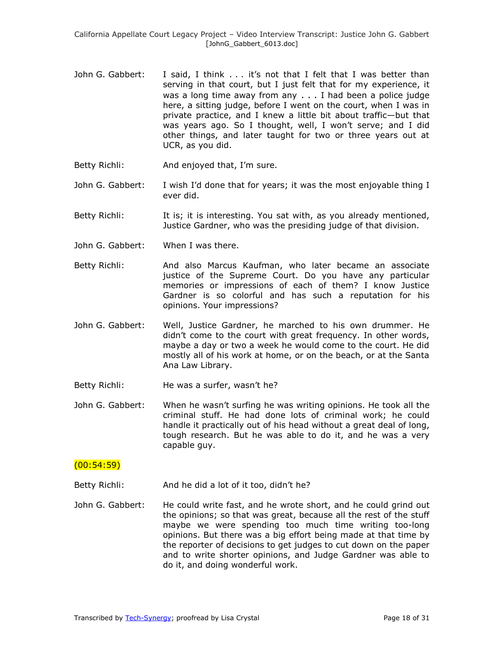- John G. Gabbert: I said, I think . . . it's not that I felt that I was better than serving in that court, but I just felt that for my experience, it was a long time away from any . . . I had been a police judge here, a sitting judge, before I went on the court, when I was in private practice, and I knew a little bit about traffic—but that was years ago. So I thought, well, I won't serve; and I did other things, and later taught for two or three years out at UCR, as you did.
- Betty Richli: And enjoyed that, I'm sure.
- John G. Gabbert: I wish I'd done that for years; it was the most enjoyable thing I ever did.
- Betty Richli: It is; it is interesting. You sat with, as you already mentioned, Justice Gardner, who was the presiding judge of that division.
- John G. Gabbert: When I was there.
- Betty Richli: And also Marcus Kaufman, who later became an associate justice of the Supreme Court. Do you have any particular memories or impressions of each of them? I know Justice Gardner is so colorful and has such a reputation for his opinions. Your impressions?
- John G. Gabbert: Well, Justice Gardner, he marched to his own drummer. He didn't come to the court with great frequency. In other words, maybe a day or two a week he would come to the court. He did mostly all of his work at home, or on the beach, or at the Santa Ana Law Library.
- Betty Richli: He was a surfer, wasn't he?
- John G. Gabbert: When he wasn't surfing he was writing opinions. He took all the criminal stuff. He had done lots of criminal work; he could handle it practically out of his head without a great deal of long, tough research. But he was able to do it, and he was a very capable guy.

#### (00:54:59)

- Betty Richli: And he did a lot of it too, didn't he?
- John G. Gabbert: He could write fast, and he wrote short, and he could grind out the opinions; so that was great, because all the rest of the stuff maybe we were spending too much time writing too-long opinions. But there was a big effort being made at that time by the reporter of decisions to get judges to cut down on the paper and to write shorter opinions, and Judge Gardner was able to do it, and doing wonderful work.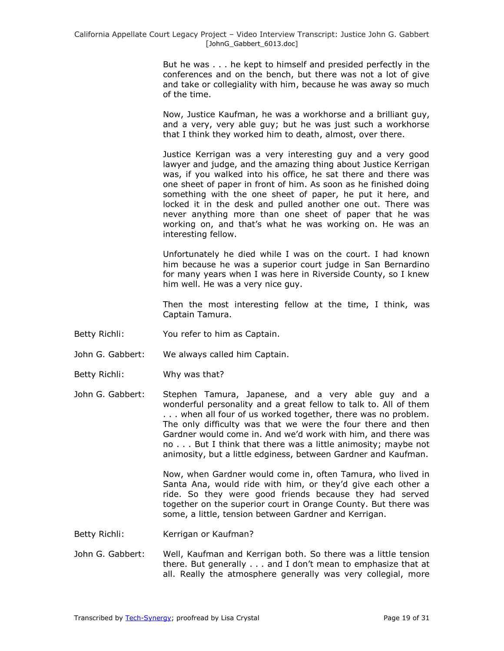But he was . . . he kept to himself and presided perfectly in the conferences and on the bench, but there was not a lot of give and take or collegiality with him, because he was away so much of the time.

Now, Justice Kaufman, he was a workhorse and a brilliant guy, and a very, very able guy; but he was just such a workhorse that I think they worked him to death, almost, over there.

Justice Kerrigan was a very interesting guy and a very good lawyer and judge, and the amazing thing about Justice Kerrigan was, if you walked into his office, he sat there and there was one sheet of paper in front of him. As soon as he finished doing something with the one sheet of paper, he put it here, and locked it in the desk and pulled another one out. There was never anything more than one sheet of paper that he was working on, and that's what he was working on. He was an interesting fellow.

Unfortunately he died while I was on the court. I had known him because he was a superior court judge in San Bernardino for many years when I was here in Riverside County, so I knew him well. He was a very nice guy.

Then the most interesting fellow at the time, I think, was Captain Tamura.

- Betty Richli: You refer to him as Captain.
- John G. Gabbert: We always called him Captain.
- Betty Richli: Why was that?
- John G. Gabbert: Stephen Tamura, Japanese, and a very able guy and a wonderful personality and a great fellow to talk to. All of them . . . when all four of us worked together, there was no problem. The only difficulty was that we were the four there and then Gardner would come in. And we'd work with him, and there was no . . . But I think that there was a little animosity; maybe not animosity, but a little edginess, between Gardner and Kaufman.

Now, when Gardner would come in, often Tamura, who lived in Santa Ana, would ride with him, or they'd give each other a ride. So they were good friends because they had served together on the superior court in Orange County. But there was some, a little, tension between Gardner and Kerrigan.

Betty Richli: Kerrigan or Kaufman?

John G. Gabbert: Well, Kaufman and Kerrigan both. So there was a little tension there. But generally . . . and I don't mean to emphasize that at all. Really the atmosphere generally was very collegial, more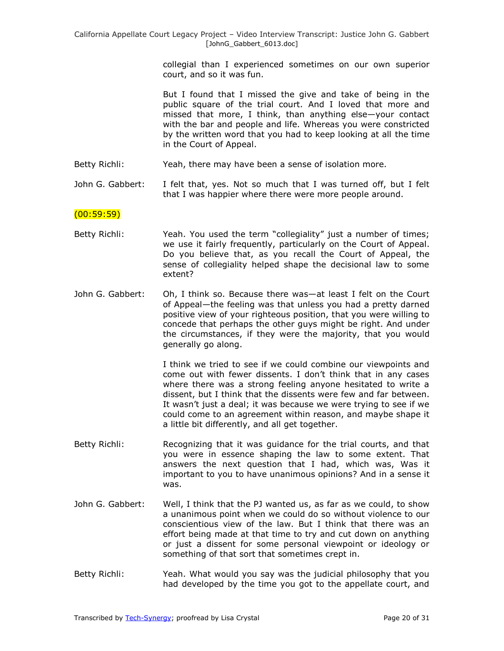collegial than I experienced sometimes on our own superior court, and so it was fun.

But I found that I missed the give and take of being in the public square of the trial court. And I loved that more and missed that more, I think, than anything else—your contact with the bar and people and life. Whereas you were constricted by the written word that you had to keep looking at all the time in the Court of Appeal.

- Betty Richli: Yeah, there may have been a sense of isolation more.
- John G. Gabbert: I felt that, yes. Not so much that I was turned off, but I felt that I was happier where there were more people around.

### $(00:59:59)$

- Betty Richli: Yeah. You used the term "collegiality" just a number of times; we use it fairly frequently, particularly on the Court of Appeal. Do you believe that, as you recall the Court of Appeal, the sense of collegiality helped shape the decisional law to some extent?
- John G. Gabbert: Oh, I think so. Because there was—at least I felt on the Court of Appeal—the feeling was that unless you had a pretty darned positive view of your righteous position, that you were willing to concede that perhaps the other guys might be right. And under the circumstances, if they were the majority, that you would generally go along.

I think we tried to see if we could combine our viewpoints and come out with fewer dissents. I don't think that in any cases where there was a strong feeling anyone hesitated to write a dissent, but I think that the dissents were few and far between. It wasn't just a deal; it was because we were trying to see if we could come to an agreement within reason, and maybe shape it a little bit differently, and all get together.

- Betty Richli: Recognizing that it was guidance for the trial courts, and that you were in essence shaping the law to some extent. That answers the next question that I had, which was, Was it important to you to have unanimous opinions? And in a sense it was.
- John G. Gabbert: Well, I think that the PJ wanted us, as far as we could, to show a unanimous point when we could do so without violence to our conscientious view of the law. But I think that there was an effort being made at that time to try and cut down on anything or just a dissent for some personal viewpoint or ideology or something of that sort that sometimes crept in.
- Betty Richli: Yeah. What would you say was the judicial philosophy that you had developed by the time you got to the appellate court, and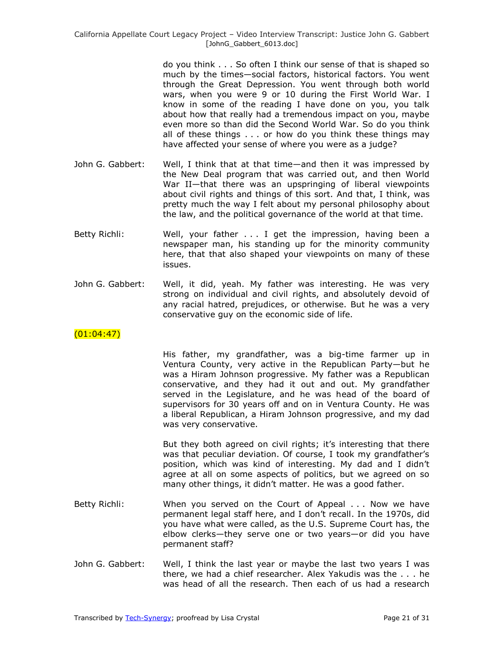do you think . . . So often I think our sense of that is shaped so much by the times—social factors, historical factors. You went through the Great Depression. You went through both world wars, when you were 9 or 10 during the First World War. I know in some of the reading I have done on you, you talk about how that really had a tremendous impact on you, maybe even more so than did the Second World War. So do you think all of these things . . . or how do you think these things may have affected your sense of where you were as a judge?

- John G. Gabbert: Well, I think that at that time—and then it was impressed by the New Deal program that was carried out, and then World War II—that there was an upspringing of liberal viewpoints about civil rights and things of this sort. And that, I think, was pretty much the way I felt about my personal philosophy about the law, and the political governance of the world at that time.
- Betty Richli: Well, your father . . . I get the impression, having been a newspaper man, his standing up for the minority community here, that that also shaped your viewpoints on many of these issues.
- John G. Gabbert: Well, it did, yeah. My father was interesting. He was very strong on individual and civil rights, and absolutely devoid of any racial hatred, prejudices, or otherwise. But he was a very conservative guy on the economic side of life.

# $(01:04:47)$

His father, my grandfather, was a big-time farmer up in Ventura County, very active in the Republican Party—but he was a Hiram Johnson progressive. My father was a Republican conservative, and they had it out and out. My grandfather served in the Legislature, and he was head of the board of supervisors for 30 years off and on in Ventura County. He was a liberal Republican, a Hiram Johnson progressive, and my dad was very conservative.

But they both agreed on civil rights; it's interesting that there was that peculiar deviation. Of course, I took my grandfather's position, which was kind of interesting. My dad and I didn't agree at all on some aspects of politics, but we agreed on so many other things, it didn't matter. He was a good father.

- Betty Richli: When you served on the Court of Appeal . . . Now we have permanent legal staff here, and I don't recall. In the 1970s, did you have what were called, as the U.S. Supreme Court has, the elbow clerks—they serve one or two years—or did you have permanent staff?
- John G. Gabbert: Well, I think the last year or maybe the last two years I was there, we had a chief researcher. Alex Yakudis was the . . . he was head of all the research. Then each of us had a research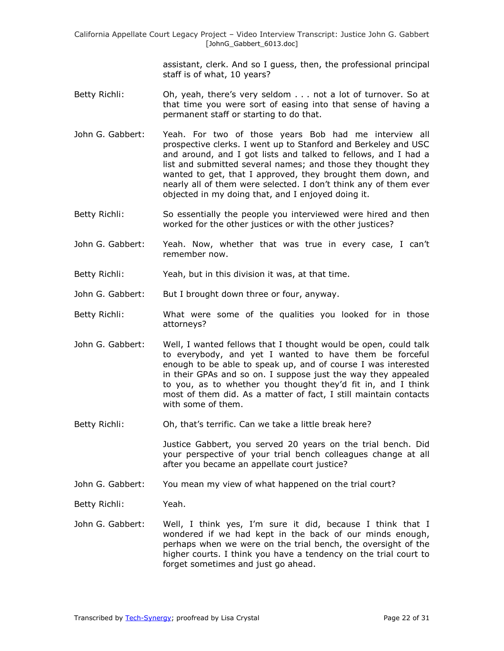> assistant, clerk. And so I guess, then, the professional principal staff is of what, 10 years?

- Betty Richli: Oh, yeah, there's very seldom . . . not a lot of turnover. So at that time you were sort of easing into that sense of having a permanent staff or starting to do that.
- John G. Gabbert: Yeah. For two of those years Bob had me interview all prospective clerks. I went up to Stanford and Berkeley and USC and around, and I got lists and talked to fellows, and I had a list and submitted several names; and those they thought they wanted to get, that I approved, they brought them down, and nearly all of them were selected. I don't think any of them ever objected in my doing that, and I enjoyed doing it.
- Betty Richli: So essentially the people you interviewed were hired and then worked for the other justices or with the other justices?
- John G. Gabbert: Yeah. Now, whether that was true in every case, I can't remember now.
- Betty Richli: Yeah, but in this division it was, at that time.
- John G. Gabbert: But I brought down three or four, anyway.
- Betty Richli: What were some of the qualities you looked for in those attorneys?
- John G. Gabbert: Well, I wanted fellows that I thought would be open, could talk to everybody, and yet I wanted to have them be forceful enough to be able to speak up, and of course I was interested in their GPAs and so on. I suppose just the way they appealed to you, as to whether you thought they'd fit in, and I think most of them did. As a matter of fact, I still maintain contacts with some of them.
- Betty Richli: Oh, that's terrific. Can we take a little break here?

Justice Gabbert, you served 20 years on the trial bench. Did your perspective of your trial bench colleagues change at all after you became an appellate court justice?

John G. Gabbert: You mean my view of what happened on the trial court?

Betty Richli: Yeah.

John G. Gabbert: Well, I think yes, I'm sure it did, because I think that I wondered if we had kept in the back of our minds enough, perhaps when we were on the trial bench, the oversight of the higher courts. I think you have a tendency on the trial court to forget sometimes and just go ahead.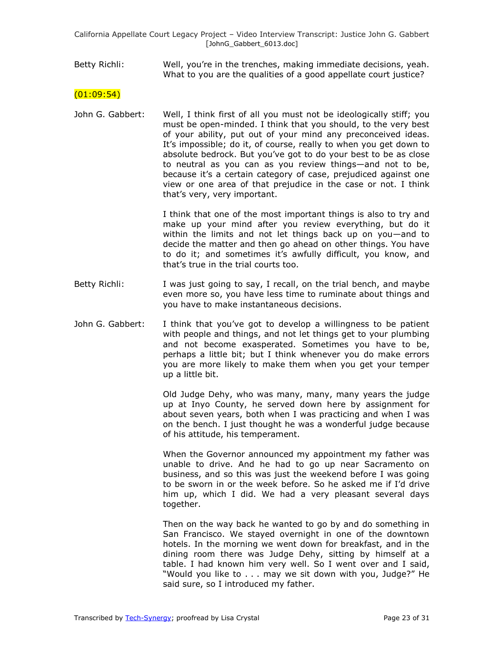#### Betty Richli: Well, you're in the trenches, making immediate decisions, yeah. What to you are the qualities of a good appellate court justice?

#### $(01:09:54)$

John G. Gabbert: Well, I think first of all you must not be ideologically stiff; you must be open-minded. I think that you should, to the very best of your ability, put out of your mind any preconceived ideas. It's impossible; do it, of course, really to when you get down to absolute bedrock. But you've got to do your best to be as close to neutral as you can as you review things—and not to be, because it's a certain category of case, prejudiced against one view or one area of that prejudice in the case or not. I think that's very, very important.

> I think that one of the most important things is also to try and make up your mind after you review everything, but do it within the limits and not let things back up on you—and to decide the matter and then go ahead on other things. You have to do it; and sometimes it's awfully difficult, you know, and that's true in the trial courts too.

- Betty Richli: I was just going to say, I recall, on the trial bench, and maybe even more so, you have less time to ruminate about things and you have to make instantaneous decisions.
- John G. Gabbert: I think that you've got to develop a willingness to be patient with people and things, and not let things get to your plumbing and not become exasperated. Sometimes you have to be, perhaps a little bit; but I think whenever you do make errors you are more likely to make them when you get your temper up a little bit.

Old Judge Dehy, who was many, many, many years the judge up at Inyo County, he served down here by assignment for about seven years, both when I was practicing and when I was on the bench. I just thought he was a wonderful judge because of his attitude, his temperament.

When the Governor announced my appointment my father was unable to drive. And he had to go up near Sacramento on business, and so this was just the weekend before I was going to be sworn in or the week before. So he asked me if I'd drive him up, which I did. We had a very pleasant several days together.

Then on the way back he wanted to go by and do something in San Francisco. We stayed overnight in one of the downtown hotels. In the morning we went down for breakfast, and in the dining room there was Judge Dehy, sitting by himself at a table. I had known him very well. So I went over and I said, "Would you like to . . . may we sit down with you, Judge?" He said sure, so I introduced my father.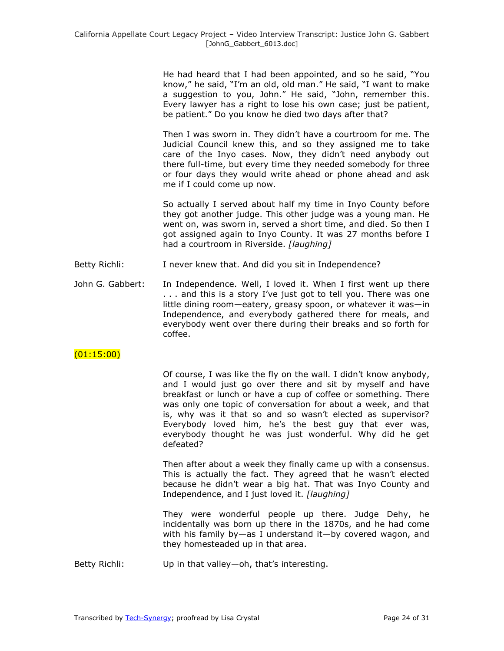He had heard that I had been appointed, and so he said, "You know," he said, "I'm an old, old man." He said, "I want to make a suggestion to you, John." He said, "John, remember this. Every lawyer has a right to lose his own case; just be patient, be patient." Do you know he died two days after that?

Then I was sworn in. They didn't have a courtroom for me. The Judicial Council knew this, and so they assigned me to take care of the Inyo cases. Now, they didn't need anybody out there full-time, but every time they needed somebody for three or four days they would write ahead or phone ahead and ask me if I could come up now.

So actually I served about half my time in Inyo County before they got another judge. This other judge was a young man. He went on, was sworn in, served a short time, and died. So then I got assigned again to Inyo County. It was 27 months before I had a courtroom in Riverside. *[laughing]*

- Betty Richli: I never knew that. And did you sit in Independence?
- John G. Gabbert: In Independence. Well, I loved it. When I first went up there . . . and this is a story I've just got to tell you. There was one little dining room—eatery, greasy spoon, or whatever it was—in Independence, and everybody gathered there for meals, and everybody went over there during their breaks and so forth for coffee.

### $(01:15:00)$

Of course, I was like the fly on the wall. I didn't know anybody, and I would just go over there and sit by myself and have breakfast or lunch or have a cup of coffee or something. There was only one topic of conversation for about a week, and that is, why was it that so and so wasn't elected as supervisor? Everybody loved him, he's the best guy that ever was, everybody thought he was just wonderful. Why did he get defeated?

Then after about a week they finally came up with a consensus. This is actually the fact. They agreed that he wasn't elected because he didn't wear a big hat. That was Inyo County and Independence, and I just loved it. *[laughing]*

They were wonderful people up there. Judge Dehy, he incidentally was born up there in the 1870s, and he had come with his family by—as I understand it—by covered wagon, and they homesteaded up in that area.

Betty Richli: Up in that valley—oh, that's interesting.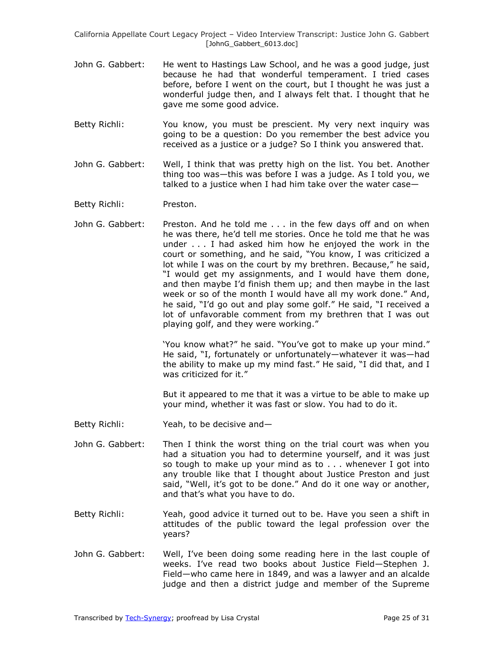- John G. Gabbert: He went to Hastings Law School, and he was a good judge, just because he had that wonderful temperament. I tried cases before, before I went on the court, but I thought he was just a wonderful judge then, and I always felt that. I thought that he gave me some good advice.
- Betty Richli: You know, you must be prescient. My very next inquiry was going to be a question: Do you remember the best advice you received as a justice or a judge? So I think you answered that.
- John G. Gabbert: Well, I think that was pretty high on the list. You bet. Another thing too was—this was before I was a judge. As I told you, we talked to a justice when I had him take over the water case—

Betty Richli: Preston.

John G. Gabbert: Preston. And he told me . . . in the few days off and on when he was there, he'd tell me stories. Once he told me that he was under . . . I had asked him how he enjoyed the work in the court or something, and he said, "You know, I was criticized a lot while I was on the court by my brethren. Because," he said, "I would get my assignments, and I would have them done, and then maybe I'd finish them up; and then maybe in the last week or so of the month I would have all my work done." And, he said, "I'd go out and play some golf." He said, "I received a lot of unfavorable comment from my brethren that I was out playing golf, and they were working."

> 'You know what?" he said. "You've got to make up your mind." He said, "I, fortunately or unfortunately—whatever it was—had the ability to make up my mind fast." He said, "I did that, and I was criticized for it."

> But it appeared to me that it was a virtue to be able to make up your mind, whether it was fast or slow. You had to do it.

- Betty Richli: Yeah, to be decisive and—
- John G. Gabbert: Then I think the worst thing on the trial court was when you had a situation you had to determine yourself, and it was just so tough to make up your mind as to . . . whenever I got into any trouble like that I thought about Justice Preston and just said, "Well, it's got to be done." And do it one way or another, and that's what you have to do.
- Betty Richli: Yeah, good advice it turned out to be. Have you seen a shift in attitudes of the public toward the legal profession over the years?
- John G. Gabbert: Well, I've been doing some reading here in the last couple of weeks. I've read two books about Justice Field—Stephen J. Field—who came here in 1849, and was a lawyer and an alcalde judge and then a district judge and member of the Supreme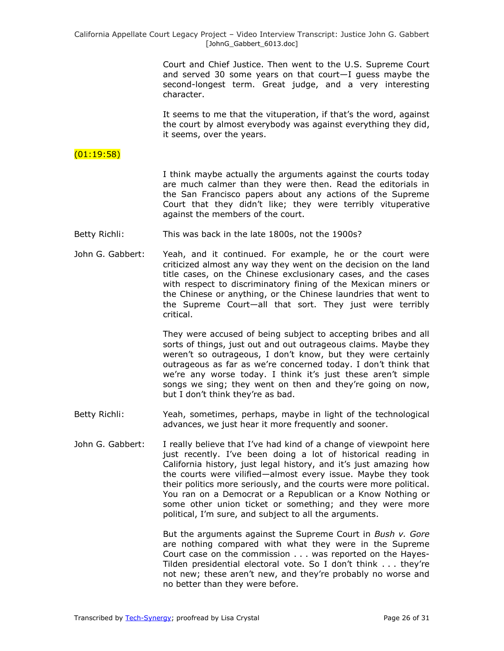Court and Chief Justice. Then went to the U.S. Supreme Court and served 30 some years on that court—I guess maybe the second-longest term. Great judge, and a very interesting character.

It seems to me that the vituperation, if that's the word, against the court by almost everybody was against everything they did, it seems, over the years.

# $(01:19:58)$

I think maybe actually the arguments against the courts today are much calmer than they were then. Read the editorials in the San Francisco papers about any actions of the Supreme Court that they didn't like; they were terribly vituperative against the members of the court.

- Betty Richli: This was back in the late 1800s, not the 1900s?
- John G. Gabbert: Yeah, and it continued. For example, he or the court were criticized almost any way they went on the decision on the land title cases, on the Chinese exclusionary cases, and the cases with respect to discriminatory fining of the Mexican miners or the Chinese or anything, or the Chinese laundries that went to the Supreme Court—all that sort. They just were terribly critical.

They were accused of being subject to accepting bribes and all sorts of things, just out and out outrageous claims. Maybe they weren't so outrageous, I don't know, but they were certainly outrageous as far as we're concerned today. I don't think that we're any worse today. I think it's just these aren't simple songs we sing; they went on then and they're going on now, but I don't think they're as bad.

- Betty Richli: Yeah, sometimes, perhaps, maybe in light of the technological advances, we just hear it more frequently and sooner.
- John G. Gabbert: I really believe that I've had kind of a change of viewpoint here just recently. I've been doing a lot of historical reading in California history, just legal history, and it's just amazing how the courts were vilified—almost every issue. Maybe they took their politics more seriously, and the courts were more political. You ran on a Democrat or a Republican or a Know Nothing or some other union ticket or something; and they were more political, I'm sure, and subject to all the arguments.

But the arguments against the Supreme Court in *Bush v. Gore* are nothing compared with what they were in the Supreme Court case on the commission . . . was reported on the Hayes-Tilden presidential electoral vote. So I don't think . . . they're not new; these aren't new, and they're probably no worse and no better than they were before.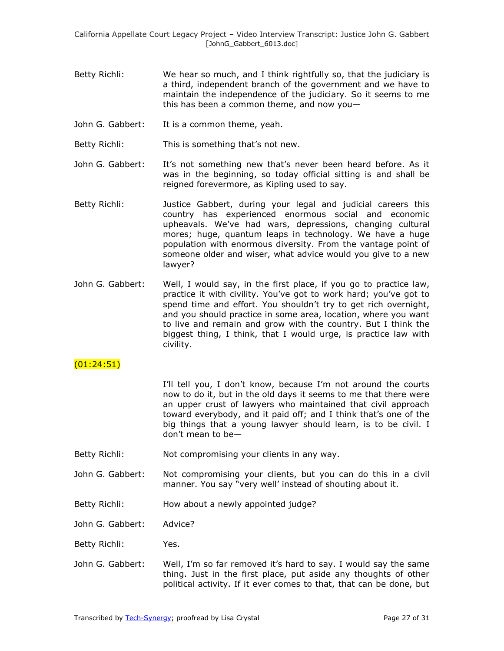- Betty Richli: We hear so much, and I think rightfully so, that the judiciary is a third, independent branch of the government and we have to maintain the independence of the judiciary. So it seems to me this has been a common theme, and now you $-$
- John G. Gabbert: It is a common theme, yeah.
- Betty Richli: This is something that's not new.
- John G. Gabbert: It's not something new that's never been heard before. As it was in the beginning, so today official sitting is and shall be reigned forevermore, as Kipling used to say.
- Betty Richli: Justice Gabbert, during your legal and judicial careers this country has experienced enormous social and economic upheavals. We've had wars, depressions, changing cultural mores; huge, quantum leaps in technology. We have a huge population with enormous diversity. From the vantage point of someone older and wiser, what advice would you give to a new lawyer?
- John G. Gabbert: Well, I would say, in the first place, if you go to practice law, practice it with civility. You've got to work hard; you've got to spend time and effort. You shouldn't try to get rich overnight, and you should practice in some area, location, where you want to live and remain and grow with the country. But I think the biggest thing, I think, that I would urge, is practice law with civility.

# (01:24:51)

I'll tell you, I don't know, because I'm not around the courts now to do it, but in the old days it seems to me that there were an upper crust of lawyers who maintained that civil approach toward everybody, and it paid off; and I think that's one of the big things that a young lawyer should learn, is to be civil. I don't mean to be—

- Betty Richli: Not compromising your clients in any way.
- John G. Gabbert: Not compromising your clients, but you can do this in a civil manner. You say "very well' instead of shouting about it.
- Betty Richli: How about a newly appointed judge?

John G. Gabbert: Advice?

- Betty Richli: Yes.
- John G. Gabbert: Well, I'm so far removed it's hard to say. I would say the same thing. Just in the first place, put aside any thoughts of other political activity. If it ever comes to that, that can be done, but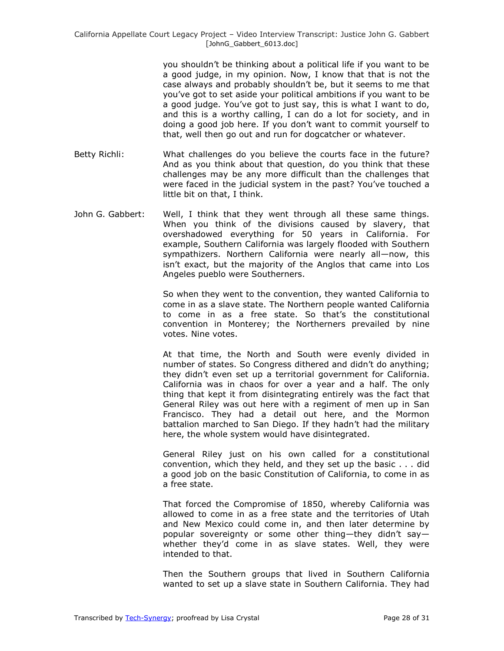you shouldn't be thinking about a political life if you want to be a good judge, in my opinion. Now, I know that that is not the case always and probably shouldn't be, but it seems to me that you've got to set aside your political ambitions if you want to be a good judge. You've got to just say, this is what I want to do, and this is a worthy calling, I can do a lot for society, and in doing a good job here. If you don't want to commit yourself to that, well then go out and run for dogcatcher or whatever.

- Betty Richli: What challenges do you believe the courts face in the future? And as you think about that question, do you think that these challenges may be any more difficult than the challenges that were faced in the judicial system in the past? You've touched a little bit on that, I think.
- John G. Gabbert: Well, I think that they went through all these same things. When you think of the divisions caused by slavery, that overshadowed everything for 50 years in California. For example, Southern California was largely flooded with Southern sympathizers. Northern California were nearly all—now, this isn't exact, but the majority of the Anglos that came into Los Angeles pueblo were Southerners.

So when they went to the convention, they wanted California to come in as a slave state. The Northern people wanted California to come in as a free state. So that's the constitutional convention in Monterey; the Northerners prevailed by nine votes. Nine votes.

At that time, the North and South were evenly divided in number of states. So Congress dithered and didn't do anything; they didn't even set up a territorial government for California. California was in chaos for over a year and a half. The only thing that kept it from disintegrating entirely was the fact that General Riley was out here with a regiment of men up in San Francisco. They had a detail out here, and the Mormon battalion marched to San Diego. If they hadn't had the military here, the whole system would have disintegrated.

General Riley just on his own called for a constitutional convention, which they held, and they set up the basic . . . did a good job on the basic Constitution of California, to come in as a free state.

That forced the Compromise of 1850, whereby California was allowed to come in as a free state and the territories of Utah and New Mexico could come in, and then later determine by popular sovereignty or some other thing—they didn't say whether they'd come in as slave states. Well, they were intended to that.

Then the Southern groups that lived in Southern California wanted to set up a slave state in Southern California. They had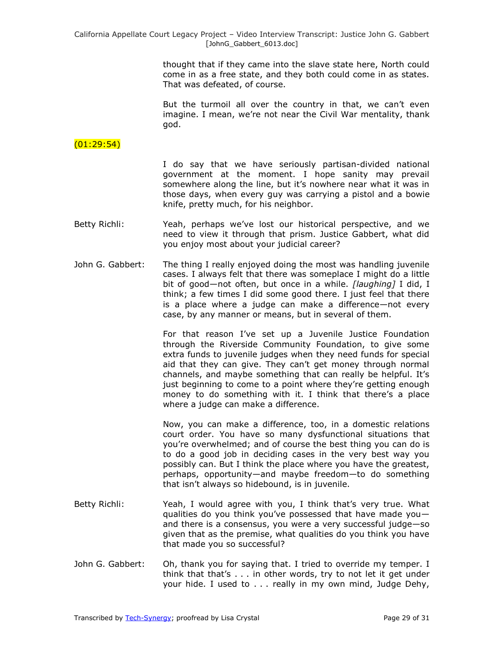> thought that if they came into the slave state here, North could come in as a free state, and they both could come in as states. That was defeated, of course.

> But the turmoil all over the country in that, we can't even imagine. I mean, we're not near the Civil War mentality, thank god.

## $(01:29:54)$

I do say that we have seriously partisan-divided national government at the moment. I hope sanity may prevail somewhere along the line, but it's nowhere near what it was in those days, when every guy was carrying a pistol and a bowie knife, pretty much, for his neighbor.

- Betty Richli: Yeah, perhaps we've lost our historical perspective, and we need to view it through that prism. Justice Gabbert, what did you enjoy most about your judicial career?
- John G. Gabbert: The thing I really enjoyed doing the most was handling juvenile cases. I always felt that there was someplace I might do a little bit of good—not often, but once in a while. *[laughing]* I did, I think; a few times I did some good there. I just feel that there is a place where a judge can make a difference—not every case, by any manner or means, but in several of them.

For that reason I've set up a Juvenile Justice Foundation through the Riverside Community Foundation, to give some extra funds to juvenile judges when they need funds for special aid that they can give. They can't get money through normal channels, and maybe something that can really be helpful. It's just beginning to come to a point where they're getting enough money to do something with it. I think that there's a place where a judge can make a difference.

Now, you can make a difference, too, in a domestic relations court order. You have so many dysfunctional situations that you're overwhelmed; and of course the best thing you can do is to do a good job in deciding cases in the very best way you possibly can. But I think the place where you have the greatest, perhaps, opportunity—and maybe freedom—to do something that isn't always so hidebound, is in juvenile.

- Betty Richli: Yeah, I would agree with you, I think that's very true. What qualities do you think you've possessed that have made you and there is a consensus, you were a very successful judge—so given that as the premise, what qualities do you think you have that made you so successful?
- John G. Gabbert: Oh, thank you for saying that. I tried to override my temper. I think that that's . . . in other words, try to not let it get under your hide. I used to . . . really in my own mind, Judge Dehy,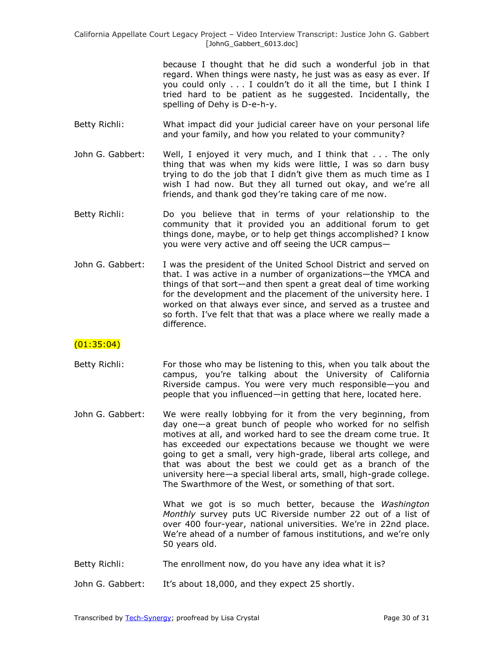> because I thought that he did such a wonderful job in that regard. When things were nasty, he just was as easy as ever. If you could only . . . I couldn't do it all the time, but I think I tried hard to be patient as he suggested. Incidentally, the spelling of Dehy is D-e-h-y.

- Betty Richli: What impact did your judicial career have on your personal life and your family, and how you related to your community?
- John G. Gabbert: Well, I enjoyed it very much, and I think that . . . The only thing that was when my kids were little, I was so darn busy trying to do the job that I didn't give them as much time as I wish I had now. But they all turned out okay, and we're all friends, and thank god they're taking care of me now.
- Betty Richli: Do you believe that in terms of your relationship to the community that it provided you an additional forum to get things done, maybe, or to help get things accomplished? I know you were very active and off seeing the UCR campus—
- John G. Gabbert: I was the president of the United School District and served on that. I was active in a number of organizations—the YMCA and things of that sort—and then spent a great deal of time working for the development and the placement of the university here. I worked on that always ever since, and served as a trustee and so forth. I've felt that that was a place where we really made a difference.

### $(01:35:04)$

- Betty Richli: For those who may be listening to this, when you talk about the campus, you're talking about the University of California Riverside campus. You were very much responsible—you and people that you influenced—in getting that here, located here.
- John G. Gabbert: We were really lobbying for it from the very beginning, from day one—a great bunch of people who worked for no selfish motives at all, and worked hard to see the dream come true. It has exceeded our expectations because we thought we were going to get a small, very high-grade, liberal arts college, and that was about the best we could get as a branch of the university here—a special liberal arts, small, high-grade college. The Swarthmore of the West, or something of that sort.

What we got is so much better, because the *Washington Monthly* survey puts UC Riverside number 22 out of a list of over 400 four-year, national universities. We're in 22nd place. We're ahead of a number of famous institutions, and we're only 50 years old.

- Betty Richli: The enrollment now, do you have any idea what it is?
- John G. Gabbert: It's about 18,000, and they expect 25 shortly.